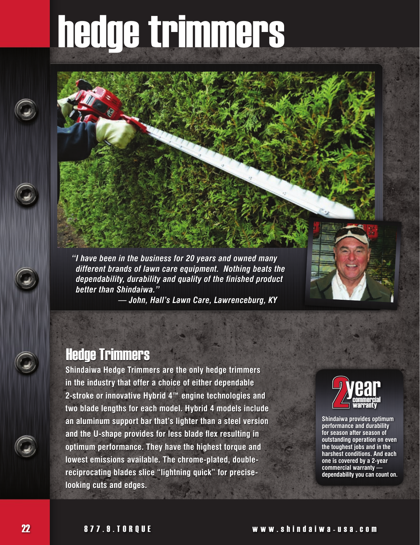# hedge trimmers

*"I have been in the business for 20 years and owned many different brands of lawn care equipment. Nothing beats the dependability, durability and quality of the finished product better than Shindaiwa."*

 *— John, Hall's Lawn Care, Lawrenceburg, KY*

#### Hedge Trimmers

**Shindaiwa Hedge Trimmers are the only hedge trimmers in the industry that offer a choice of either dependable 2-stroke or innovative Hybrid 4™ engine technologies and two blade lengths for each model. Hybrid 4 models include an aluminum support bar that's lighter than a steel version and the U-shape provides for less blade flex resulting in optimum performance. They have the highest torque and lowest emissions available. The chrome-plated, doublereciprocating blades slice "lightning quick" for preciselooking cuts and edges.**



**Shindaiwa provides optimum performance and durability for season after season of outstanding operation on even the toughest jobs and in the harshest conditions. And each one is covered by a 2-year commercial warranty dependability you can count on.**